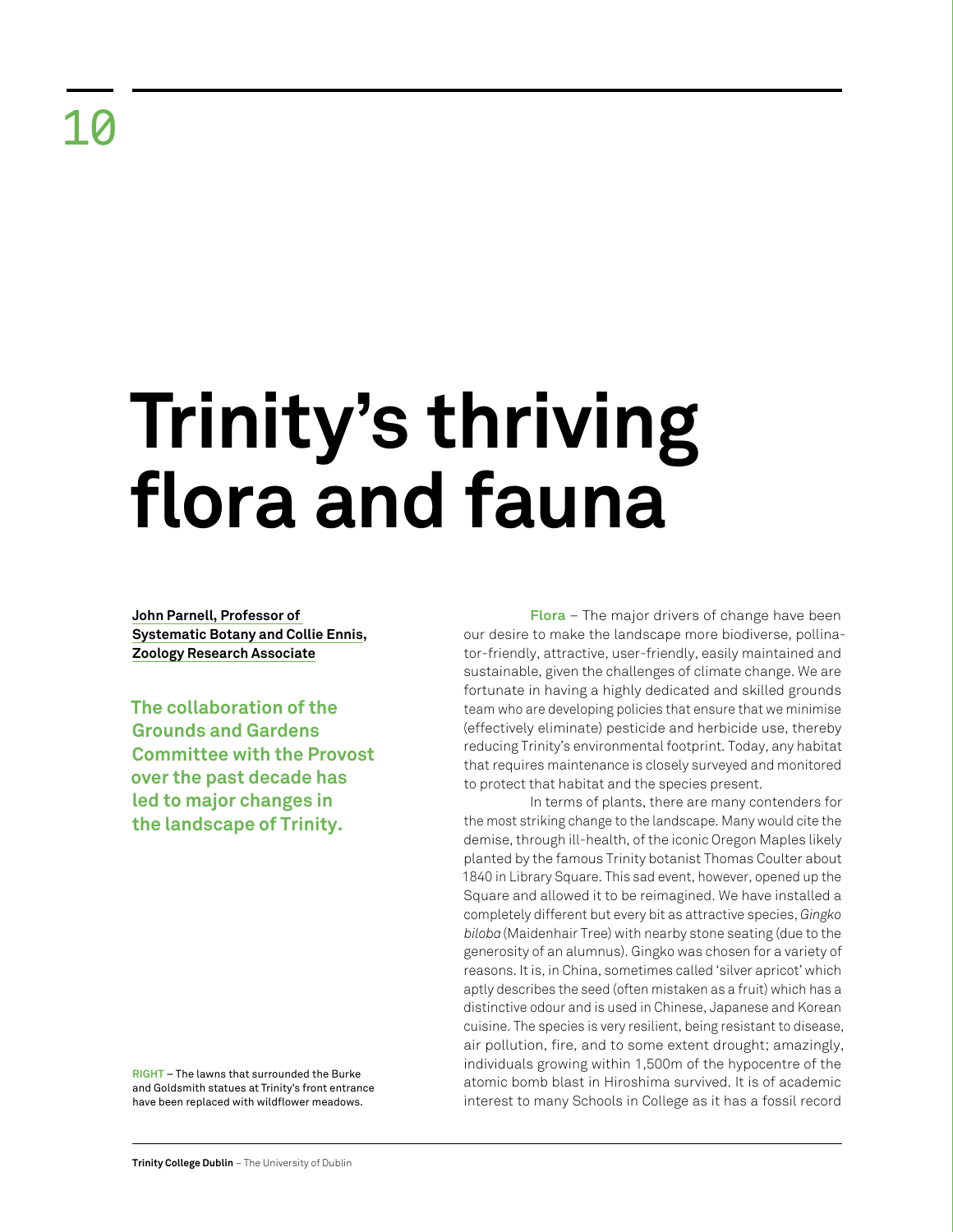## **Trinity's thriving flora and fauna**

**John Parnell, Professor of Systematic Botany and Collie Ennis, Zoology Research Associate**

**The collaboration of the Grounds and Gardens Committee with the Provost over the past decade has led to major changes in the landscape of Trinity.**

**RIGHT** – The lawns that surrounded the Burke and Goldsmith statues at Trinity's front entrance have been replaced with wildflower meadows.

**Flora** – The major drivers of change have been our desire to make the landscape more biodiverse, pollinator-friendly, attractive, user-friendly, easily maintained and sustainable, given the challenges of climate change. We are fortunate in having a highly dedicated and skilled grounds team who are developing policies that ensure that we minimise (effectively eliminate) pesticide and herbicide use, thereby reducing Trinity's environmental footprint. Today, any habitat that requires maintenance is closely surveyed and monitored to protect that habitat and the species present.

In terms of plants, there are many contenders for the most striking change to the landscape. Many would cite the demise, through ill-health, of the iconic Oregon Maples likely planted by the famous Trinity botanist Thomas Coulter about 1840 in Library Square. This sad event, however, opened up the Square and allowed it to be reimagined. We have installed a completely different but every bit as attractive species, *Gingko biloba* (Maidenhair Tree) with nearby stone seating (due to the generosity of an alumnus). Gingko was chosen for a variety of reasons. It is, in China, sometimes called 'silver apricot' which aptly describes the seed (often mistaken as a fruit) which has a distinctive odour and is used in Chinese, Japanese and Korean cuisine. The species is very resilient, being resistant to disease, air pollution, fire, and to some extent drought; amazingly, individuals growing within 1,500m of the hypocentre of the atomic bomb blast in Hiroshima survived. It is of academic interest to many Schools in College as it has a fossil record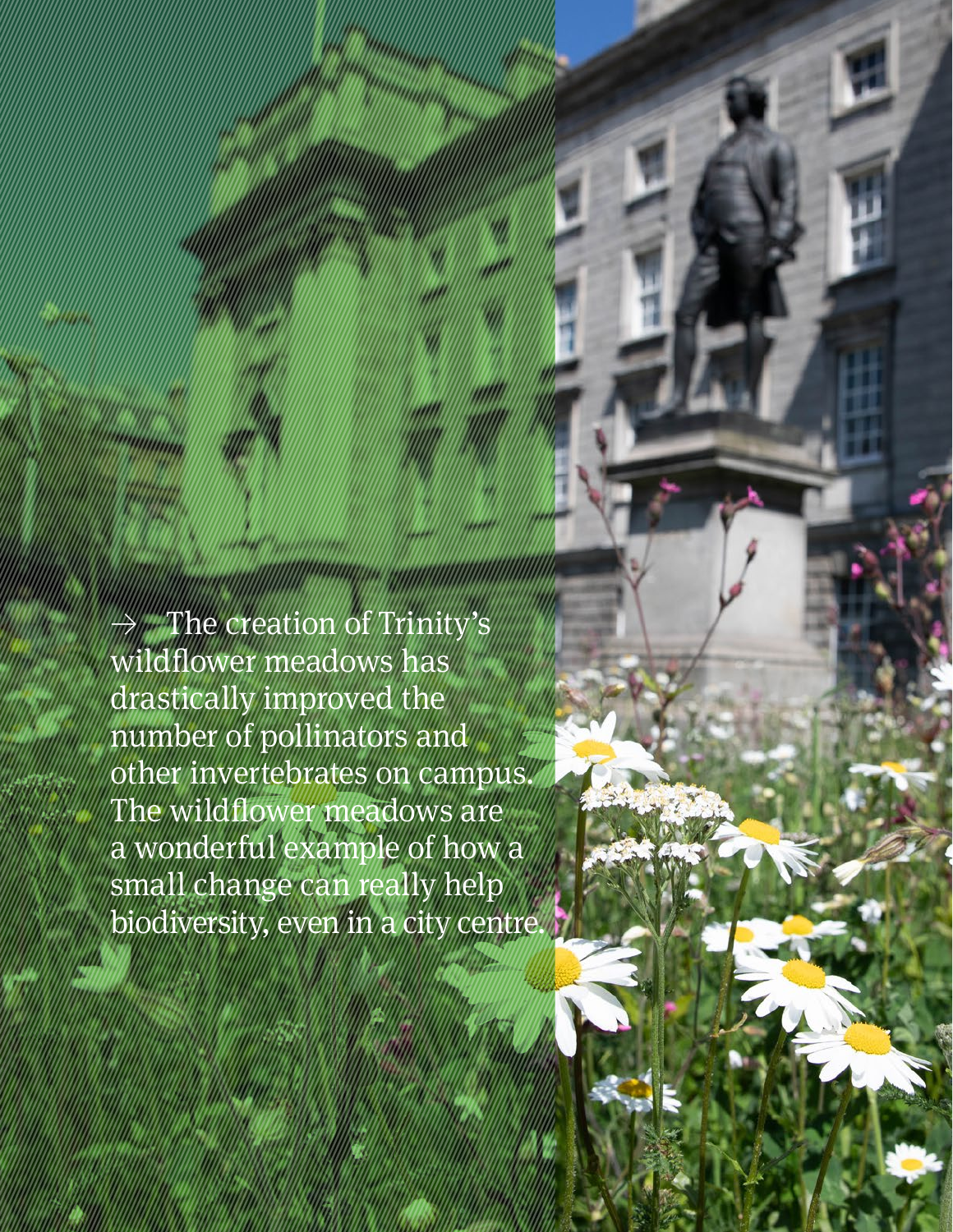$\rightarrow$  The creation of Trinity's wildflower meadows has drastically improved the number of pollinators and other invertebrates on campus. The wildflower meadows are a wonderful example of how a small change can really help biodiversity, even in a city centre.

**Retrospective Review** 2011–21 76 | 77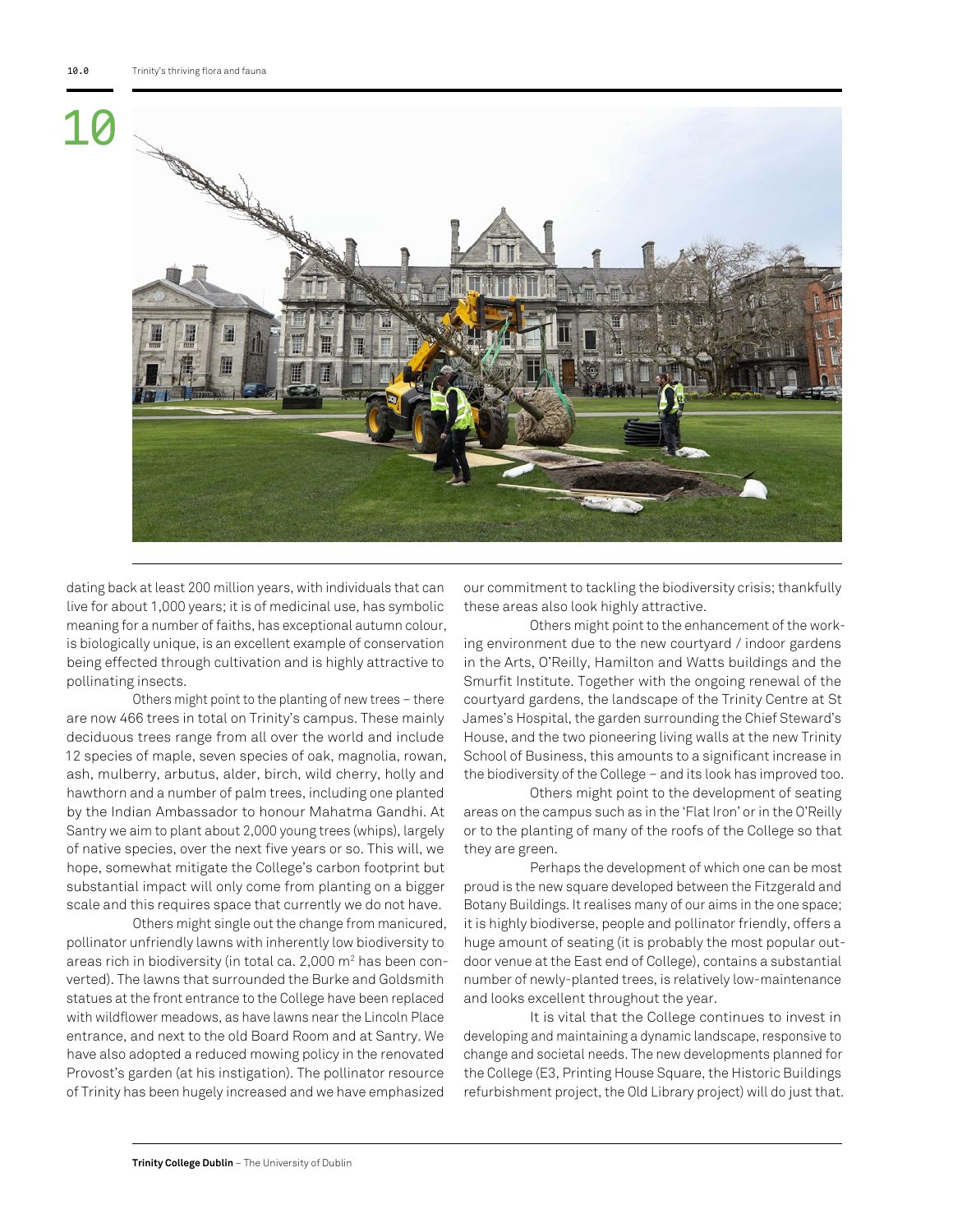

dating back at least 200 million years, with individuals that can live for about 1,000 years; it is of medicinal use, has symbolic meaning for a number of faiths, has exceptional autumn colour, is biologically unique, is an excellent example of conservation being effected through cultivation and is highly attractive to pollinating insects.

Others might point to the planting of new trees – there are now 466 trees in total on Trinity's campus. These mainly deciduous trees range from all over the world and include 12 species of maple, seven species of oak, magnolia, rowan, ash, mulberry, arbutus, alder, birch, wild cherry, holly and hawthorn and a number of palm trees, including one planted by the Indian Ambassador to honour Mahatma Gandhi. At Santry we aim to plant about 2,000 young trees (whips), largely of native species, over the next five years or so. This will, we hope, somewhat mitigate the College's carbon footprint but substantial impact will only come from planting on a bigger scale and this requires space that currently we do not have.

Others might single out the change from manicured, pollinator unfriendly lawns with inherently low biodiversity to areas rich in biodiversity (in total ca. 2,000 m2 has been converted). The lawns that surrounded the Burke and Goldsmith statues at the front entrance to the College have been replaced with wildflower meadows, as have lawns near the Lincoln Place entrance, and next to the old Board Room and at Santry. We have also adopted a reduced mowing policy in the renovated Provost's garden (at his instigation). The pollinator resource of Trinity has been hugely increased and we have emphasized

our commitment to tackling the biodiversity crisis; thankfully these areas also look highly attractive.

Others might point to the enhancement of the working environment due to the new courtyard / indoor gardens in the Arts, O'Reilly, Hamilton and Watts buildings and the Smurfit Institute. Together with the ongoing renewal of the courtyard gardens, the landscape of the Trinity Centre at St James's Hospital, the garden surrounding the Chief Steward's House, and the two pioneering living walls at the new Trinity School of Business, this amounts to a significant increase in the biodiversity of the College – and its look has improved too.

Others might point to the development of seating areas on the campus such as in the 'Flat Iron' or in the O'Reilly or to the planting of many of the roofs of the College so that they are green.

Perhaps the development of which one can be most proud is the new square developed between the Fitzgerald and Botany Buildings. It realises many of our aims in the one space; it is highly biodiverse, people and pollinator friendly, offers a huge amount of seating (it is probably the most popular outdoor venue at the East end of College), contains a substantial number of newly-planted trees, is relatively low-maintenance and looks excellent throughout the year.

It is vital that the College continues to invest in developing and maintaining a dynamic landscape, responsive to change and societal needs. The new developments planned for the College (E3, Printing House Square, the Historic Buildings refurbishment project, the Old Library project) will do just that.